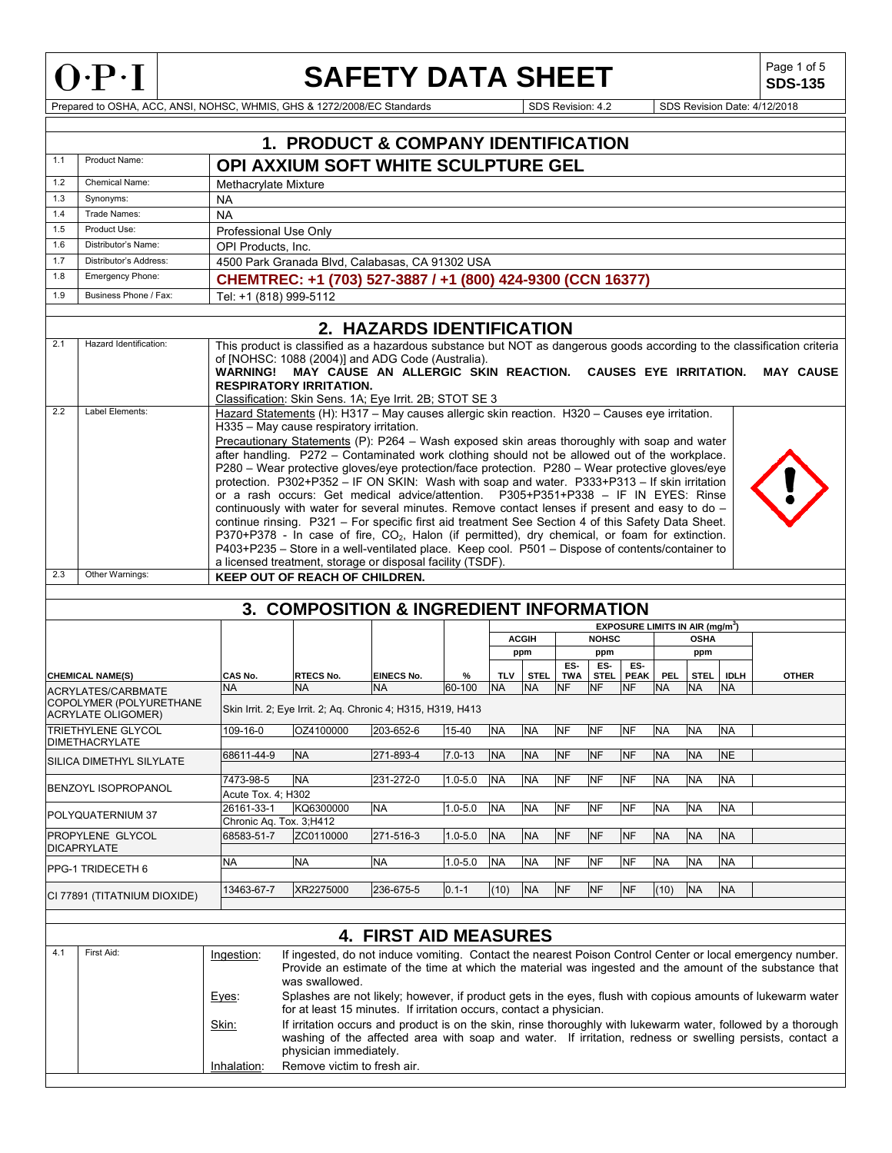

### **SAFETY DATA SHEET**

Page 1 of 5<br>**SDS-135** 

Prepared to OSHA, ACC, ANSI, NOHSC, WHMIS, GHS & 1272/2008/EC Standards Superintendent Superintendent SDS Revision: 4.2 SDS Revision Date: 4/12/2018

|     |                                                        |                                       | <b>1. PRODUCT &amp; COMPANY IDENTIFICATION</b>                                                                                                                                                                                                                                                                                                                                                                                                                                                                                                                                                                                                                                                                                                                                                                                                                                                                                                                                                                                                                                                                              |                              |             |            |              |            |              |                                                  |            |             |             |                  |
|-----|--------------------------------------------------------|---------------------------------------|-----------------------------------------------------------------------------------------------------------------------------------------------------------------------------------------------------------------------------------------------------------------------------------------------------------------------------------------------------------------------------------------------------------------------------------------------------------------------------------------------------------------------------------------------------------------------------------------------------------------------------------------------------------------------------------------------------------------------------------------------------------------------------------------------------------------------------------------------------------------------------------------------------------------------------------------------------------------------------------------------------------------------------------------------------------------------------------------------------------------------------|------------------------------|-------------|------------|--------------|------------|--------------|--------------------------------------------------|------------|-------------|-------------|------------------|
| 1.1 | Product Name:                                          |                                       | OPI AXXIUM SOFT WHITE SCULPTURE GEL                                                                                                                                                                                                                                                                                                                                                                                                                                                                                                                                                                                                                                                                                                                                                                                                                                                                                                                                                                                                                                                                                         |                              |             |            |              |            |              |                                                  |            |             |             |                  |
| 1.2 | Chemical Name:                                         | Methacrylate Mixture                  |                                                                                                                                                                                                                                                                                                                                                                                                                                                                                                                                                                                                                                                                                                                                                                                                                                                                                                                                                                                                                                                                                                                             |                              |             |            |              |            |              |                                                  |            |             |             |                  |
| 1.3 | Synonyms:                                              | <b>NA</b>                             |                                                                                                                                                                                                                                                                                                                                                                                                                                                                                                                                                                                                                                                                                                                                                                                                                                                                                                                                                                                                                                                                                                                             |                              |             |            |              |            |              |                                                  |            |             |             |                  |
| 1.4 | Trade Names:                                           | <b>NA</b>                             |                                                                                                                                                                                                                                                                                                                                                                                                                                                                                                                                                                                                                                                                                                                                                                                                                                                                                                                                                                                                                                                                                                                             |                              |             |            |              |            |              |                                                  |            |             |             |                  |
| 1.5 | Product Use:                                           | Professional Use Only                 |                                                                                                                                                                                                                                                                                                                                                                                                                                                                                                                                                                                                                                                                                                                                                                                                                                                                                                                                                                                                                                                                                                                             |                              |             |            |              |            |              |                                                  |            |             |             |                  |
| 1.6 | Distributor's Name:                                    | OPI Products, Inc.                    |                                                                                                                                                                                                                                                                                                                                                                                                                                                                                                                                                                                                                                                                                                                                                                                                                                                                                                                                                                                                                                                                                                                             |                              |             |            |              |            |              |                                                  |            |             |             |                  |
| 1.7 | Distributor's Address:                                 |                                       | 4500 Park Granada Blvd, Calabasas, CA 91302 USA                                                                                                                                                                                                                                                                                                                                                                                                                                                                                                                                                                                                                                                                                                                                                                                                                                                                                                                                                                                                                                                                             |                              |             |            |              |            |              |                                                  |            |             |             |                  |
| 1.8 | Emergency Phone:                                       |                                       | CHEMTREC: +1 (703) 527-3887 / +1 (800) 424-9300 (CCN 16377)                                                                                                                                                                                                                                                                                                                                                                                                                                                                                                                                                                                                                                                                                                                                                                                                                                                                                                                                                                                                                                                                 |                              |             |            |              |            |              |                                                  |            |             |             |                  |
| 1.9 | Business Phone / Fax:                                  | Tel: +1 (818) 999-5112                |                                                                                                                                                                                                                                                                                                                                                                                                                                                                                                                                                                                                                                                                                                                                                                                                                                                                                                                                                                                                                                                                                                                             |                              |             |            |              |            |              |                                                  |            |             |             |                  |
|     |                                                        |                                       |                                                                                                                                                                                                                                                                                                                                                                                                                                                                                                                                                                                                                                                                                                                                                                                                                                                                                                                                                                                                                                                                                                                             |                              |             |            |              |            |              |                                                  |            |             |             |                  |
|     |                                                        |                                       |                                                                                                                                                                                                                                                                                                                                                                                                                                                                                                                                                                                                                                                                                                                                                                                                                                                                                                                                                                                                                                                                                                                             | 2. HAZARDS IDENTIFICATION    |             |            |              |            |              |                                                  |            |             |             |                  |
| 2.1 | Hazard Identification:                                 |                                       | This product is classified as a hazardous substance but NOT as dangerous goods according to the classification criteria<br>of [NOHSC: 1088 (2004)] and ADG Code (Australia).<br>WARNING! MAY CAUSE AN ALLERGIC SKIN REACTION. CAUSES EYE IRRITATION.<br><b>RESPIRATORY IRRITATION.</b><br>Classification: Skin Sens. 1A; Eye Irrit. 2B; STOT SE 3                                                                                                                                                                                                                                                                                                                                                                                                                                                                                                                                                                                                                                                                                                                                                                           |                              |             |            |              |            |              |                                                  |            |             |             | <b>MAY CAUSE</b> |
| 2.2 | Label Elements:                                        |                                       | Hazard Statements (H): H317 - May causes allergic skin reaction. H320 - Causes eye irritation.<br>H335 - May cause respiratory irritation.<br>Precautionary Statements (P): P264 - Wash exposed skin areas thoroughly with soap and water<br>after handling. P272 - Contaminated work clothing should not be allowed out of the workplace.<br>P280 – Wear protective gloves/eye protection/face protection. P280 – Wear protective gloves/eye<br>protection. P302+P352 - IF ON SKIN: Wash with soap and water. P333+P313 - If skin irritation<br>or a rash occurs: Get medical advice/attention. P305+P351+P338 - IF IN EYES: Rinse<br>continuously with water for several minutes. Remove contact lenses if present and easy to do -<br>continue rinsing. P321 - For specific first aid treatment See Section 4 of this Safety Data Sheet.<br>P370+P378 - In case of fire, CO <sub>2</sub> , Halon (if permitted), dry chemical, or foam for extinction.<br>P403+P235 - Store in a well-ventilated place. Keep cool. P501 - Dispose of contents/container to<br>a licensed treatment, storage or disposal facility (TSDF). |                              |             |            |              |            |              |                                                  |            |             |             |                  |
|     |                                                        |                                       |                                                                                                                                                                                                                                                                                                                                                                                                                                                                                                                                                                                                                                                                                                                                                                                                                                                                                                                                                                                                                                                                                                                             |                              |             |            |              |            |              |                                                  |            |             |             |                  |
| 2.3 | Other Warnings:                                        |                                       |                                                                                                                                                                                                                                                                                                                                                                                                                                                                                                                                                                                                                                                                                                                                                                                                                                                                                                                                                                                                                                                                                                                             |                              |             |            |              |            |              |                                                  |            |             |             |                  |
|     |                                                        |                                       | KEEP OUT OF REACH OF CHILDREN.                                                                                                                                                                                                                                                                                                                                                                                                                                                                                                                                                                                                                                                                                                                                                                                                                                                                                                                                                                                                                                                                                              |                              |             |            |              |            |              |                                                  |            |             |             |                  |
|     |                                                        |                                       |                                                                                                                                                                                                                                                                                                                                                                                                                                                                                                                                                                                                                                                                                                                                                                                                                                                                                                                                                                                                                                                                                                                             |                              |             |            |              |            |              |                                                  |            |             |             |                  |
|     |                                                        |                                       | 3. COMPOSITION & INGREDIENT INFORMATION                                                                                                                                                                                                                                                                                                                                                                                                                                                                                                                                                                                                                                                                                                                                                                                                                                                                                                                                                                                                                                                                                     |                              |             |            |              |            |              | <b>EXPOSURE LIMITS IN AIR (mg/m<sup>3</sup>)</b> |            |             |             |                  |
|     |                                                        |                                       |                                                                                                                                                                                                                                                                                                                                                                                                                                                                                                                                                                                                                                                                                                                                                                                                                                                                                                                                                                                                                                                                                                                             |                              |             |            | <b>ACGIH</b> |            | <b>NOHSC</b> |                                                  |            | <b>OSHA</b> |             |                  |
|     |                                                        |                                       |                                                                                                                                                                                                                                                                                                                                                                                                                                                                                                                                                                                                                                                                                                                                                                                                                                                                                                                                                                                                                                                                                                                             |                              |             |            | ppm          |            | ppm          |                                                  |            | ppm         |             |                  |
|     | <b>CHEMICAL NAME(S)</b>                                | CAS No.                               | <b>RTECS No.</b>                                                                                                                                                                                                                                                                                                                                                                                                                                                                                                                                                                                                                                                                                                                                                                                                                                                                                                                                                                                                                                                                                                            | <b>EINECS No.</b>            | %           | <b>TLV</b> | <b>STEL</b>  | ES-<br>TWA | ES-          | ES-<br>STEL PEAK                                 | <b>PEL</b> | STEL        | <b>IDLH</b> | <b>OTHER</b>     |
|     | <b>ACRYLATES/CARBMATE</b>                              | <b>NA</b>                             | <b>NA</b>                                                                                                                                                                                                                                                                                                                                                                                                                                                                                                                                                                                                                                                                                                                                                                                                                                                                                                                                                                                                                                                                                                                   | NA.                          | 60-100      | <b>NA</b>  | <b>NA</b>    | <b>NF</b>  | <b>NF</b>    | <b>NF</b>                                        | <b>NA</b>  | <b>NA</b>   | <b>NA</b>   |                  |
|     | COPOLYMER (POLYURETHANE                                |                                       | Skin Irrit. 2; Eye Irrit. 2; Aq. Chronic 4; H315, H319, H413                                                                                                                                                                                                                                                                                                                                                                                                                                                                                                                                                                                                                                                                                                                                                                                                                                                                                                                                                                                                                                                                |                              |             |            |              |            |              |                                                  |            |             |             |                  |
|     | <b>ACRYLATE OLIGOMER)</b><br><b>TRIETHYLENE GLYCOL</b> | 109-16-0                              | OZ4100000                                                                                                                                                                                                                                                                                                                                                                                                                                                                                                                                                                                                                                                                                                                                                                                                                                                                                                                                                                                                                                                                                                                   | 203-652-6                    | 15-40       | <b>NA</b>  | <b>NA</b>    | <b>NF</b>  | <b>NF</b>    | <b>NF</b>                                        | <b>NA</b>  | <b>NA</b>   | <b>NA</b>   |                  |
|     | <b>DIMETHACRYLATE</b>                                  | 68611-44-9                            | <b>NA</b>                                                                                                                                                                                                                                                                                                                                                                                                                                                                                                                                                                                                                                                                                                                                                                                                                                                                                                                                                                                                                                                                                                                   | 271-893-4                    | $7.0 - 13$  | <b>NA</b>  | <b>NA</b>    | <b>NF</b>  | <b>NF</b>    | <b>NF</b>                                        | <b>NA</b>  | <b>NA</b>   | <b>NE</b>   |                  |
|     | SILICA DIMETHYL SILYLATE                               |                                       |                                                                                                                                                                                                                                                                                                                                                                                                                                                                                                                                                                                                                                                                                                                                                                                                                                                                                                                                                                                                                                                                                                                             |                              |             |            |              |            |              |                                                  |            |             |             |                  |
|     | BENZOYL ISOPROPANOL                                    | 7473-98-5                             | <b>NA</b>                                                                                                                                                                                                                                                                                                                                                                                                                                                                                                                                                                                                                                                                                                                                                                                                                                                                                                                                                                                                                                                                                                                   | 231-272-0                    | $1.0 - 5.0$ | <b>NA</b>  | <b>NA</b>    | NF         | <b>NF</b>    | <b>NF</b>                                        | <b>NA</b>  | <b>NA</b>   | <b>INA</b>  |                  |
|     |                                                        | Acute Tox. 4; H302                    |                                                                                                                                                                                                                                                                                                                                                                                                                                                                                                                                                                                                                                                                                                                                                                                                                                                                                                                                                                                                                                                                                                                             | <b>NA</b>                    |             | <b>NA</b>  | <b>NA</b>    |            | <b>NF</b>    | <b>NF</b>                                        | <b>NA</b>  | <b>NA</b>   | <b>NA</b>   |                  |
|     | POLYQUATERNIUM 37                                      | 26161-33-1<br>Chronic Aq. Tox. 3;H412 | KQ6300000                                                                                                                                                                                                                                                                                                                                                                                                                                                                                                                                                                                                                                                                                                                                                                                                                                                                                                                                                                                                                                                                                                                   |                              | $1.0 - 5.0$ |            |              | <b>NF</b>  |              |                                                  |            |             |             |                  |
|     | PROPYLENE GLYCOL                                       | 68583-51-7                            | ZC0110000                                                                                                                                                                                                                                                                                                                                                                                                                                                                                                                                                                                                                                                                                                                                                                                                                                                                                                                                                                                                                                                                                                                   | 271-516-3                    | $1.0 - 5.0$ | <b>NA</b>  | <b>NA</b>    | <b>NF</b>  | <b>NF</b>    | <b>NF</b>                                        | <b>NA</b>  | <b>NA</b>   | <b>NA</b>   |                  |
|     | <b>DICAPRYLATE</b>                                     | NA                                    | <b>NA</b>                                                                                                                                                                                                                                                                                                                                                                                                                                                                                                                                                                                                                                                                                                                                                                                                                                                                                                                                                                                                                                                                                                                   | <b>NA</b>                    | $1.0 - 5.0$ | <b>NA</b>  | <b>NA</b>    | <b>NF</b>  | <b>NF</b>    | <b>NF</b>                                        | <b>NA</b>  | <b>NA</b>   | <b>NA</b>   |                  |
|     | PPG-1 TRIDECETH 6                                      | 13463-67-7                            | XR2275000                                                                                                                                                                                                                                                                                                                                                                                                                                                                                                                                                                                                                                                                                                                                                                                                                                                                                                                                                                                                                                                                                                                   | 236-675-5                    | $0.1 - 1$   |            | <b>NA</b>    | <b>NF</b>  | <b>NF</b>    | <b>NF</b>                                        | (10)       | <b>NA</b>   | <b>NA</b>   |                  |
|     | CI 77891 (TITATNIUM DIOXIDE)                           |                                       |                                                                                                                                                                                                                                                                                                                                                                                                                                                                                                                                                                                                                                                                                                                                                                                                                                                                                                                                                                                                                                                                                                                             |                              |             | (10)       |              |            |              |                                                  |            |             |             |                  |
|     |                                                        |                                       |                                                                                                                                                                                                                                                                                                                                                                                                                                                                                                                                                                                                                                                                                                                                                                                                                                                                                                                                                                                                                                                                                                                             |                              |             |            |              |            |              |                                                  |            |             |             |                  |
|     |                                                        |                                       |                                                                                                                                                                                                                                                                                                                                                                                                                                                                                                                                                                                                                                                                                                                                                                                                                                                                                                                                                                                                                                                                                                                             | <b>4. FIRST AID MEASURES</b> |             |            |              |            |              |                                                  |            |             |             |                  |
| 4.1 | First Aid:                                             | Ingestion:<br>Eyes:<br>Skin:          | If ingested, do not induce vomiting. Contact the nearest Poison Control Center or local emergency number.<br>Provide an estimate of the time at which the material was ingested and the amount of the substance that<br>was swallowed.<br>Splashes are not likely; however, if product gets in the eyes, flush with copious amounts of lukewarm water<br>for at least 15 minutes. If irritation occurs, contact a physician.<br>If irritation occurs and product is on the skin, rinse thoroughly with lukewarm water, followed by a thorough<br>washing of the affected area with soap and water. If irritation, redness or swelling persists, contact a                                                                                                                                                                                                                                                                                                                                                                                                                                                                   |                              |             |            |              |            |              |                                                  |            |             |             |                  |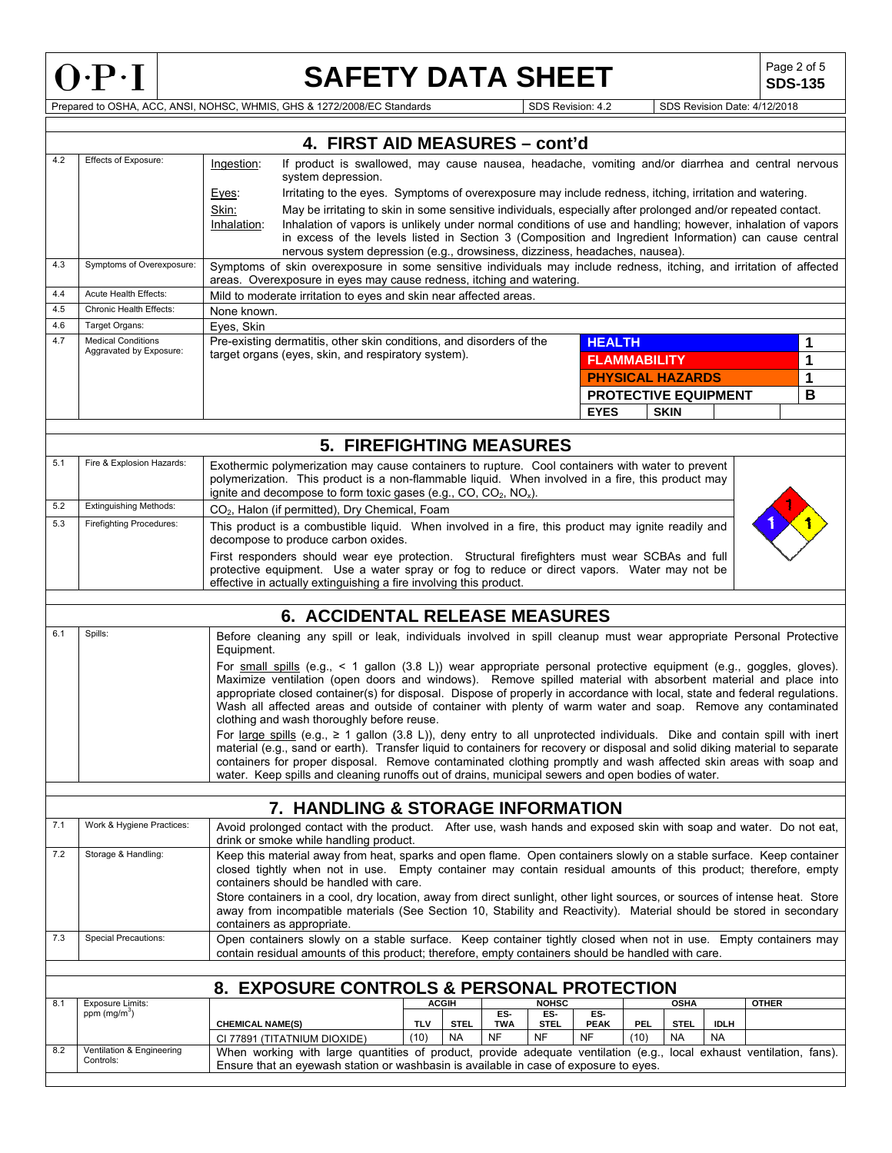

# **SAFETY DATA SHEET**  $\left|\begin{array}{c} \text{Page 2 of 5} \\ \text{SDS-135} \end{array}\right|$

**SDS-135**

Prepared to OSHA, ACC, ANSI, NOHSC, WHMIS, GHS & 1272/2008/EC Standards SUSS Revision: 4.2 SDS Revision Date: 4/12/2018

|     |                                                      | 4. FIRST AID MEASURES - cont'd                                                                                                                                                                                                             |                                                |                  |              |                          |                             |                   |                          |              |   |
|-----|------------------------------------------------------|--------------------------------------------------------------------------------------------------------------------------------------------------------------------------------------------------------------------------------------------|------------------------------------------------|------------------|--------------|--------------------------|-----------------------------|-------------------|--------------------------|--------------|---|
| 4.2 | Effects of Exposure:                                 |                                                                                                                                                                                                                                            |                                                |                  |              |                          |                             |                   |                          |              |   |
|     |                                                      | If product is swallowed, may cause nausea, headache, vomiting and/or diarrhea and central nervous<br>Ingestion:<br>system depression.                                                                                                      |                                                |                  |              |                          |                             |                   |                          |              |   |
|     |                                                      | Irritating to the eyes. Symptoms of overexposure may include redness, itching, irritation and watering.<br>Eyes:                                                                                                                           |                                                |                  |              |                          |                             |                   |                          |              |   |
|     |                                                      | Skin:<br>May be irritating to skin in some sensitive individuals, especially after prolonged and/or repeated contact.                                                                                                                      |                                                |                  |              |                          |                             |                   |                          |              |   |
|     |                                                      | Inhalation of vapors is unlikely under normal conditions of use and handling; however, inhalation of vapors<br>Inhalation:                                                                                                                 |                                                |                  |              |                          |                             |                   |                          |              |   |
|     |                                                      | in excess of the levels listed in Section 3 (Composition and Ingredient Information) can cause central                                                                                                                                     |                                                |                  |              |                          |                             |                   |                          |              |   |
| 4.3 | Symptoms of Overexposure:                            | nervous system depression (e.g., drowsiness, dizziness, headaches, nausea).                                                                                                                                                                |                                                |                  |              |                          |                             |                   |                          |              |   |
|     |                                                      | Symptoms of skin overexposure in some sensitive individuals may include redness, itching, and irritation of affected<br>areas. Overexposure in eyes may cause redness, itching and watering.                                               |                                                |                  |              |                          |                             |                   |                          |              |   |
| 4.4 | Acute Health Effects:                                | Mild to moderate irritation to eyes and skin near affected areas.                                                                                                                                                                          |                                                |                  |              |                          |                             |                   |                          |              |   |
| 4.5 | Chronic Health Effects:                              | None known.                                                                                                                                                                                                                                |                                                |                  |              |                          |                             |                   |                          |              |   |
| 4.6 | Target Organs:                                       | Eyes, Skin                                                                                                                                                                                                                                 |                                                |                  |              |                          |                             |                   |                          |              |   |
| 4.7 | <b>Medical Conditions</b><br>Aggravated by Exposure: | Pre-existing dermatitis, other skin conditions, and disorders of the                                                                                                                                                                       |                                                |                  |              | <b>HEALTH</b>            |                             |                   |                          |              | 1 |
|     |                                                      | target organs (eyes, skin, and respiratory system).                                                                                                                                                                                        |                                                |                  |              |                          | <b>FLAMMABILITY</b>         |                   |                          |              | 1 |
|     |                                                      |                                                                                                                                                                                                                                            |                                                |                  |              |                          | <b>PHYSICAL HAZARDS</b>     |                   |                          |              | 1 |
|     |                                                      |                                                                                                                                                                                                                                            |                                                |                  |              |                          | <b>PROTECTIVE EQUIPMENT</b> |                   |                          |              | B |
|     |                                                      |                                                                                                                                                                                                                                            |                                                |                  |              | <b>EYES</b>              |                             | <b>SKIN</b>       |                          |              |   |
|     |                                                      |                                                                                                                                                                                                                                            |                                                |                  |              |                          |                             |                   |                          |              |   |
|     |                                                      | <b>5. FIREFIGHTING MEASURES</b>                                                                                                                                                                                                            |                                                |                  |              |                          |                             |                   |                          |              |   |
| 5.1 | Fire & Explosion Hazards:                            | Exothermic polymerization may cause containers to rupture. Cool containers with water to prevent                                                                                                                                           |                                                |                  |              |                          |                             |                   |                          |              |   |
|     |                                                      | polymerization. This product is a non-flammable liquid. When involved in a fire, this product may                                                                                                                                          |                                                |                  |              |                          |                             |                   |                          |              |   |
|     |                                                      | ignite and decompose to form toxic gases (e.g., CO, $CO_2$ , $NO_x$ ).                                                                                                                                                                     |                                                |                  |              |                          |                             |                   |                          |              |   |
| 5.2 | Extinguishing Methods:                               | CO <sub>2</sub> , Halon (if permitted), Dry Chemical, Foam                                                                                                                                                                                 |                                                |                  |              |                          |                             |                   |                          |              |   |
| 5.3 | <b>Firefighting Procedures:</b>                      | This product is a combustible liquid. When involved in a fire, this product may ignite readily and<br>decompose to produce carbon oxides.                                                                                                  |                                                |                  |              |                          |                             |                   |                          |              |   |
|     |                                                      | First responders should wear eye protection. Structural firefighters must wear SCBAs and full                                                                                                                                              |                                                |                  |              |                          |                             |                   |                          |              |   |
|     |                                                      | protective equipment. Use a water spray or fog to reduce or direct vapors. Water may not be                                                                                                                                                |                                                |                  |              |                          |                             |                   |                          |              |   |
|     |                                                      | effective in actually extinguishing a fire involving this product.                                                                                                                                                                         |                                                |                  |              |                          |                             |                   |                          |              |   |
|     |                                                      |                                                                                                                                                                                                                                            |                                                |                  |              |                          |                             |                   |                          |              |   |
|     |                                                      | <b>6. ACCIDENTAL RELEASE MEASURES</b>                                                                                                                                                                                                      |                                                |                  |              |                          |                             |                   |                          |              |   |
| 6.1 | Spills:                                              | Before cleaning any spill or leak, individuals involved in spill cleanup must wear appropriate Personal Protective<br>Equipment.                                                                                                           |                                                |                  |              |                          |                             |                   |                          |              |   |
|     |                                                      | For small spills (e.g., $\lt 1$ gallon (3.8 L)) wear appropriate personal protective equipment (e.g., goggles, gloves).                                                                                                                    |                                                |                  |              |                          |                             |                   |                          |              |   |
|     |                                                      | Maximize ventilation (open doors and windows). Remove spilled material with absorbent material and place into                                                                                                                              |                                                |                  |              |                          |                             |                   |                          |              |   |
|     |                                                      | appropriate closed container(s) for disposal. Dispose of properly in accordance with local, state and federal regulations.<br>Wash all affected areas and outside of container with plenty of warm water and soap. Remove any contaminated |                                                |                  |              |                          |                             |                   |                          |              |   |
|     |                                                      | clothing and wash thoroughly before reuse.                                                                                                                                                                                                 |                                                |                  |              |                          |                             |                   |                          |              |   |
|     |                                                      | For large spills (e.g., $\geq 1$ gallon (3.8 L)), deny entry to all unprotected individuals. Dike and contain spill with inert                                                                                                             |                                                |                  |              |                          |                             |                   |                          |              |   |
|     |                                                      | material (e.g., sand or earth). Transfer liquid to containers for recovery or disposal and solid diking material to separate                                                                                                               |                                                |                  |              |                          |                             |                   |                          |              |   |
|     |                                                      | containers for proper disposal. Remove contaminated clothing promptly and wash affected skin areas with soap and<br>water. Keep spills and cleaning runoffs out of drains, municipal sewers and open bodies of water.                      |                                                |                  |              |                          |                             |                   |                          |              |   |
|     |                                                      |                                                                                                                                                                                                                                            |                                                |                  |              |                          |                             |                   |                          |              |   |
|     |                                                      | 7. HANDLING & STORAGE INFORMATION                                                                                                                                                                                                          |                                                |                  |              |                          |                             |                   |                          |              |   |
| 7.1 | Work & Hygiene Practices:                            | Avoid prolonged contact with the product. After use, wash hands and exposed skin with soap and water. Do not eat,<br>drink or smoke while handling product.                                                                                |                                                |                  |              |                          |                             |                   |                          |              |   |
| 7.2 | Storage & Handling:                                  | Keep this material away from heat, sparks and open flame. Open containers slowly on a stable surface. Keep container                                                                                                                       |                                                |                  |              |                          |                             |                   |                          |              |   |
|     |                                                      | closed tightly when not in use. Empty container may contain residual amounts of this product; therefore, empty                                                                                                                             |                                                |                  |              |                          |                             |                   |                          |              |   |
|     |                                                      | containers should be handled with care.<br>Store containers in a cool, dry location, away from direct sunlight, other light sources, or sources of intense heat. Store                                                                     |                                                |                  |              |                          |                             |                   |                          |              |   |
|     |                                                      | away from incompatible materials (See Section 10, Stability and Reactivity). Material should be stored in secondary                                                                                                                        |                                                |                  |              |                          |                             |                   |                          |              |   |
|     |                                                      | containers as appropriate.                                                                                                                                                                                                                 |                                                |                  |              |                          |                             |                   |                          |              |   |
| 7.3 | Special Precautions:                                 | Open containers slowly on a stable surface. Keep container tightly closed when not in use. Empty containers may                                                                                                                            |                                                |                  |              |                          |                             |                   |                          |              |   |
|     |                                                      | contain residual amounts of this product; therefore, empty containers should be handled with care.                                                                                                                                         |                                                |                  |              |                          |                             |                   |                          |              |   |
|     |                                                      | 8. EXPOSURE CONTROLS & PERSONAL PROTECTION                                                                                                                                                                                                 |                                                |                  |              |                          |                             |                   |                          |              |   |
| 8.1 | <b>Exposure Limits:</b>                              |                                                                                                                                                                                                                                            | <b>ACGIH</b>                                   |                  | <b>NOHSC</b> |                          |                             | <b>OSHA</b>       |                          | <b>OTHER</b> |   |
|     | ppm (mg/m <sup>3</sup> )                             |                                                                                                                                                                                                                                            |                                                | ES-              | ES-          | ES-                      |                             |                   |                          |              |   |
|     |                                                      | <b>CHEMICAL NAME(S)</b><br>CI 77891 (TITATNIUM DIOXIDE)                                                                                                                                                                                    | <b>TLV</b><br><b>STEL</b><br>(10)<br><b>NA</b> | <b>TWA</b><br>NF | STEL<br>NF   | <b>PEAK</b><br><b>NF</b> | PEL<br>(10)                 | <b>STEL</b><br>NA | <b>IDLH</b><br><b>NA</b> |              |   |
| 8.2 | Ventilation & Engineering                            | When working with large quantities of product, provide adequate ventilation (e.g., local exhaust ventilation, fans).                                                                                                                       |                                                |                  |              |                          |                             |                   |                          |              |   |
|     | Controls:                                            | Ensure that an eyewash station or washbasin is available in case of exposure to eyes.                                                                                                                                                      |                                                |                  |              |                          |                             |                   |                          |              |   |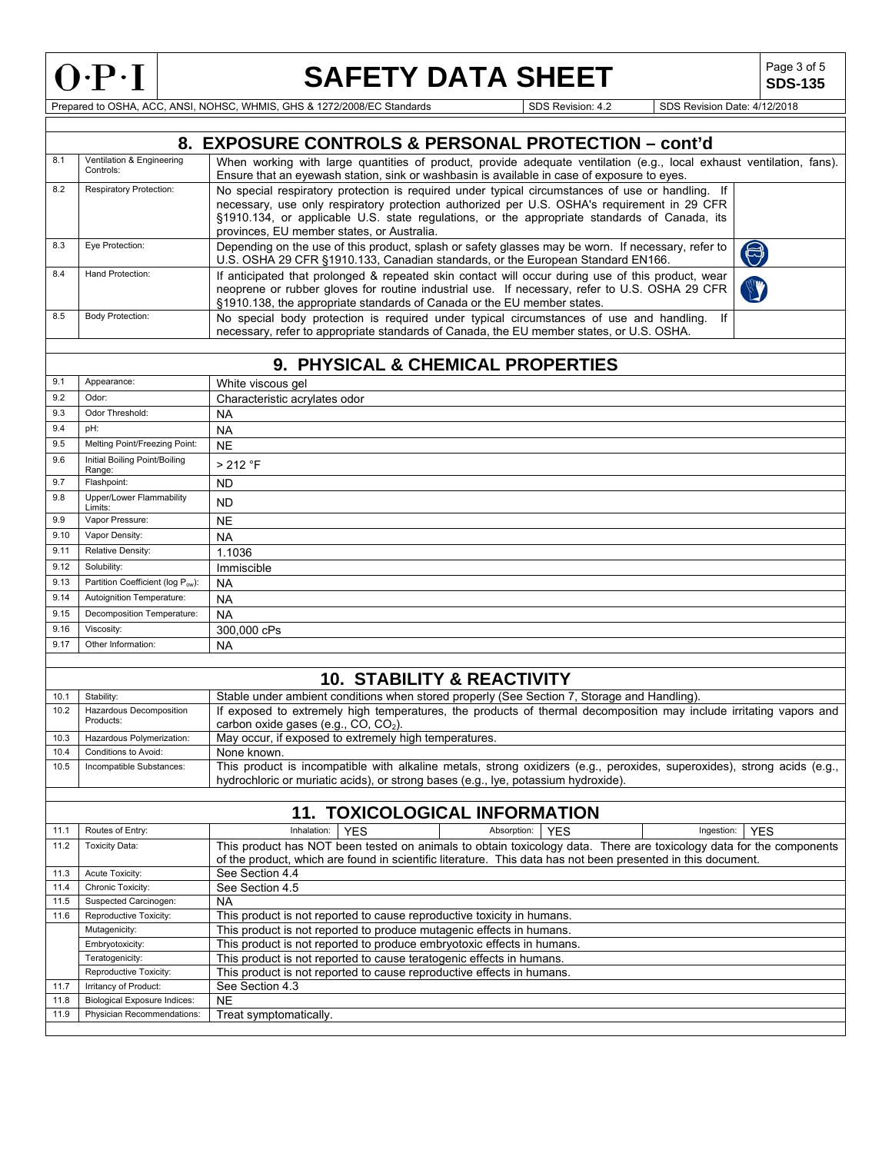

Г

## **SAFETY DATA SHEET** SDS-135

**SDS-135**

Prepared to OSHA, ACC, ANSI, NOHSC, WHMIS, GHS & 1272/2008/EC Standards Superintendent Superintendent Superintendent SDS Revision: 4.2 SDS Revision Date: 4/12/2018

|              |                                         | 8. EXPOSURE CONTROLS & PERSONAL PROTECTION - cont'd                                                                                                                                                                                                                           |
|--------------|-----------------------------------------|-------------------------------------------------------------------------------------------------------------------------------------------------------------------------------------------------------------------------------------------------------------------------------|
| 8.1          | Ventilation & Engineering<br>Controls:  | When working with large quantities of product, provide adequate ventilation (e.g., local exhaust ventilation, fans).<br>Ensure that an eyewash station, sink or washbasin is available in case of exposure to eyes.                                                           |
| 8.2          | <b>Respiratory Protection:</b>          | No special respiratory protection is required under typical circumstances of use or handling. If<br>necessary, use only respiratory protection authorized per U.S. OSHA's requirement in 29 CFR                                                                               |
|              |                                         | §1910.134, or applicable U.S. state regulations, or the appropriate standards of Canada, its<br>provinces, EU member states, or Australia.                                                                                                                                    |
| 8.3          | Eye Protection:                         | Depending on the use of this product, splash or safety glasses may be worn. If necessary, refer to<br>$\bigcirc$<br>U.S. OSHA 29 CFR §1910.133, Canadian standards, or the European Standard EN166.                                                                           |
| 8.4          | Hand Protection:                        | If anticipated that prolonged & repeated skin contact will occur during use of this product, wear<br>neoprene or rubber gloves for routine industrial use. If necessary, refer to U.S. OSHA 29 CFR<br>§1910.138, the appropriate standards of Canada or the EU member states. |
| 8.5          | <b>Body Protection:</b>                 | No special body protection is required under typical circumstances of use and handling.<br>lf<br>necessary, refer to appropriate standards of Canada, the EU member states, or U.S. OSHA.                                                                                     |
|              |                                         |                                                                                                                                                                                                                                                                               |
|              |                                         | 9. PHYSICAL & CHEMICAL PROPERTIES                                                                                                                                                                                                                                             |
| 9.1          | Appearance:                             | White viscous gel                                                                                                                                                                                                                                                             |
| 9.2          | Odor:                                   | Characteristic acrylates odor                                                                                                                                                                                                                                                 |
| 9.3          | Odor Threshold:                         | <b>NA</b>                                                                                                                                                                                                                                                                     |
| 9.4          | pH:                                     | <b>NA</b>                                                                                                                                                                                                                                                                     |
| 9.5          | Melting Point/Freezing Point:           | <b>NE</b>                                                                                                                                                                                                                                                                     |
| 9.6          | Initial Boiling Point/Boiling<br>Range: | > 212 °F                                                                                                                                                                                                                                                                      |
| 9.7          | Flashpoint:                             | <b>ND</b>                                                                                                                                                                                                                                                                     |
| 9.8          | Upper/Lower Flammability<br>Limits:     | <b>ND</b>                                                                                                                                                                                                                                                                     |
| 9.9          | Vapor Pressure:                         | <b>NE</b>                                                                                                                                                                                                                                                                     |
| 9.10         | Vapor Density:                          | <b>NA</b>                                                                                                                                                                                                                                                                     |
| 9.11         | Relative Density:                       | 1.1036                                                                                                                                                                                                                                                                        |
| 9.12         | Solubility:                             | Immiscible                                                                                                                                                                                                                                                                    |
| 9.13         | Partition Coefficient (log Pow):        | NA                                                                                                                                                                                                                                                                            |
| 9.14         | Autoignition Temperature:               | <b>NA</b>                                                                                                                                                                                                                                                                     |
| 9.15         | Decomposition Temperature:              |                                                                                                                                                                                                                                                                               |
|              |                                         | <b>NA</b>                                                                                                                                                                                                                                                                     |
| 9.16         | Viscosity:                              | 300,000 cPs                                                                                                                                                                                                                                                                   |
| 9.17         | Other Information:                      | <b>NA</b>                                                                                                                                                                                                                                                                     |
|              |                                         | <b>10. STABILITY &amp; REACTIVITY</b>                                                                                                                                                                                                                                         |
|              |                                         |                                                                                                                                                                                                                                                                               |
| 10.1<br>10.2 | Stability:                              | Stable under ambient conditions when stored properly (See Section 7, Storage and Handling).<br>If exposed to extremely high temperatures, the products of thermal decomposition may include irritating vapors and                                                             |
|              | Hazardous Decomposition<br>Products:    | carbon oxide gases (e.g., CO, CO <sub>2</sub> ).                                                                                                                                                                                                                              |
| 10.3         | Hazardous Polymerization:               | May occur, if exposed to extremely high temperatures.                                                                                                                                                                                                                         |
| 10.4<br>10.5 | Conditions to Avoid:                    | None known.                                                                                                                                                                                                                                                                   |
|              | Incompatible Substances:                | This product is incompatible with alkaline metals, strong oxidizers (e.g., peroxides, superoxides), strong acids (e.g.,<br>hydrochloric or muriatic acids), or strong bases (e.g., lye, potassium hydroxide).                                                                 |
|              |                                         |                                                                                                                                                                                                                                                                               |
|              |                                         | <b>11. TOXICOLOGICAL INFORMATION</b>                                                                                                                                                                                                                                          |
| 11.1         | Routes of Entry:                        | Inhalation:<br><b>YES</b><br>Absorption:<br><b>YES</b><br>Ingestion:<br><b>YES</b>                                                                                                                                                                                            |
| 11.2         | <b>Toxicity Data:</b>                   | This product has NOT been tested on animals to obtain toxicology data. There are toxicology data for the components                                                                                                                                                           |
| 11.3         | Acute Toxicity:                         | of the product, which are found in scientific literature. This data has not been presented in this document.<br>See Section 4.4                                                                                                                                               |
| 11.4         | Chronic Toxicity:                       | See Section 4.5                                                                                                                                                                                                                                                               |
| 11.5         | Suspected Carcinogen:                   | <b>NA</b>                                                                                                                                                                                                                                                                     |
| 11.6         | Reproductive Toxicity:                  | This product is not reported to cause reproductive toxicity in humans.                                                                                                                                                                                                        |
|              | Mutagenicity:                           | This product is not reported to produce mutagenic effects in humans.                                                                                                                                                                                                          |
|              | Embryotoxicity:                         | This product is not reported to produce embryotoxic effects in humans.                                                                                                                                                                                                        |
|              | Teratogenicity:                         | This product is not reported to cause teratogenic effects in humans.                                                                                                                                                                                                          |
|              | Reproductive Toxicity:                  | This product is not reported to cause reproductive effects in humans.                                                                                                                                                                                                         |
| 11.7         | Irritancy of Product:                   | See Section 4.3                                                                                                                                                                                                                                                               |
| 11.8         | <b>Biological Exposure Indices:</b>     | <b>NE</b>                                                                                                                                                                                                                                                                     |
| 11.9         | Physician Recommendations:              | Treat symptomatically.                                                                                                                                                                                                                                                        |
|              |                                         |                                                                                                                                                                                                                                                                               |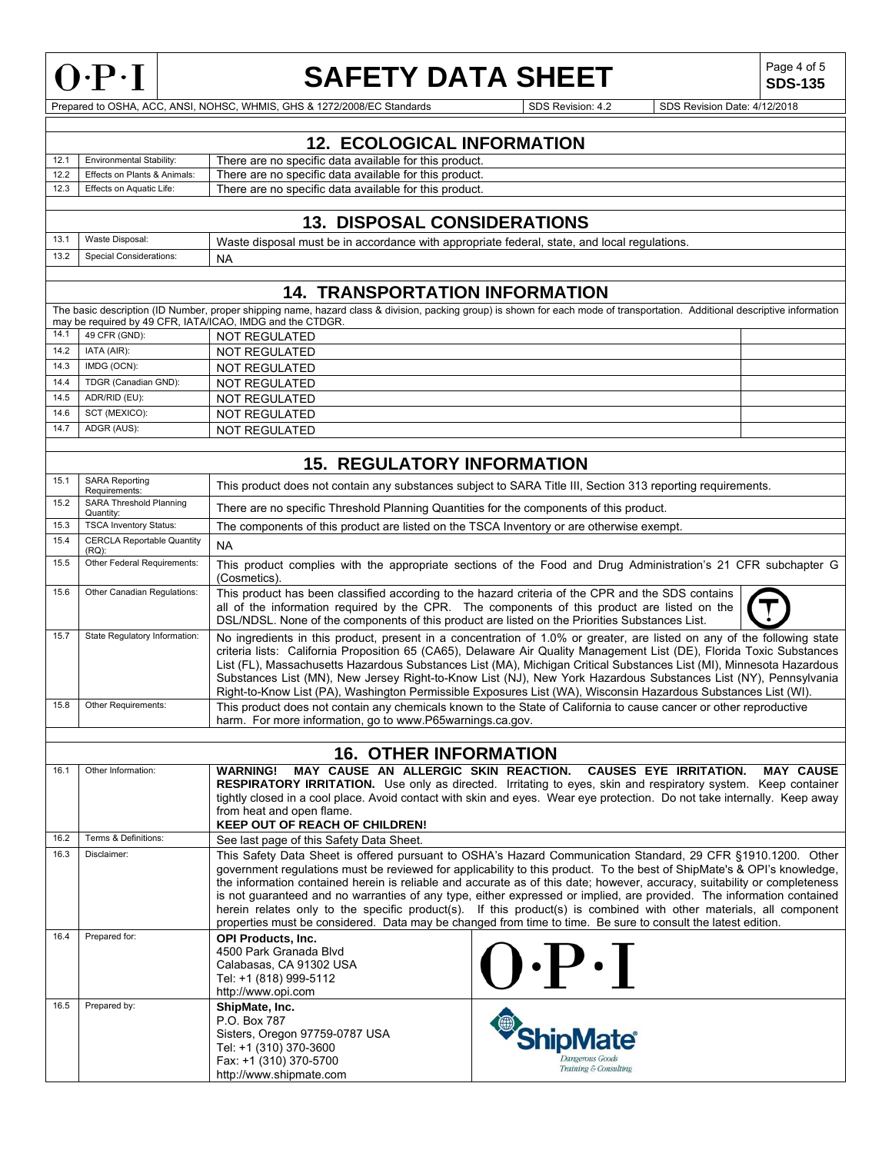

### **SAFETY DATA SHEET**

**SDS-135**

Prepared to OSHA, ACC, ANSI, NOHSC, WHMIS, GHS & 1272/2008/EC Standards Superintendent Superintendent SDS Revision: 4.2 SDS Revision Date: 4/12/2018

|      | <b>12. ECOLOGICAL INFORMATION</b>                                                                                                                                                                                                                                                                                                                                                                                                                                                                                                                                                                                                              |                                                                                                                                                                                                                                                                                                     |                                                                                                                                                                                                                                                                                                                                                                                                                                                                                                                                                                                                                     |  |  |
|------|------------------------------------------------------------------------------------------------------------------------------------------------------------------------------------------------------------------------------------------------------------------------------------------------------------------------------------------------------------------------------------------------------------------------------------------------------------------------------------------------------------------------------------------------------------------------------------------------------------------------------------------------|-----------------------------------------------------------------------------------------------------------------------------------------------------------------------------------------------------------------------------------------------------------------------------------------------------|---------------------------------------------------------------------------------------------------------------------------------------------------------------------------------------------------------------------------------------------------------------------------------------------------------------------------------------------------------------------------------------------------------------------------------------------------------------------------------------------------------------------------------------------------------------------------------------------------------------------|--|--|
| 12.1 | Environmental Stability:                                                                                                                                                                                                                                                                                                                                                                                                                                                                                                                                                                                                                       | There are no specific data available for this product.                                                                                                                                                                                                                                              |                                                                                                                                                                                                                                                                                                                                                                                                                                                                                                                                                                                                                     |  |  |
| 12.2 | Effects on Plants & Animals:                                                                                                                                                                                                                                                                                                                                                                                                                                                                                                                                                                                                                   | There are no specific data available for this product.                                                                                                                                                                                                                                              |                                                                                                                                                                                                                                                                                                                                                                                                                                                                                                                                                                                                                     |  |  |
| 12.3 | Effects on Aquatic Life:                                                                                                                                                                                                                                                                                                                                                                                                                                                                                                                                                                                                                       | There are no specific data available for this product.                                                                                                                                                                                                                                              |                                                                                                                                                                                                                                                                                                                                                                                                                                                                                                                                                                                                                     |  |  |
|      |                                                                                                                                                                                                                                                                                                                                                                                                                                                                                                                                                                                                                                                | <b>13. DISPOSAL CONSIDERATIONS</b>                                                                                                                                                                                                                                                                  |                                                                                                                                                                                                                                                                                                                                                                                                                                                                                                                                                                                                                     |  |  |
| 13.1 | Waste Disposal:                                                                                                                                                                                                                                                                                                                                                                                                                                                                                                                                                                                                                                | Waste disposal must be in accordance with appropriate federal, state, and local regulations.                                                                                                                                                                                                        |                                                                                                                                                                                                                                                                                                                                                                                                                                                                                                                                                                                                                     |  |  |
| 13.2 | Special Considerations:                                                                                                                                                                                                                                                                                                                                                                                                                                                                                                                                                                                                                        | NA                                                                                                                                                                                                                                                                                                  |                                                                                                                                                                                                                                                                                                                                                                                                                                                                                                                                                                                                                     |  |  |
|      |                                                                                                                                                                                                                                                                                                                                                                                                                                                                                                                                                                                                                                                |                                                                                                                                                                                                                                                                                                     |                                                                                                                                                                                                                                                                                                                                                                                                                                                                                                                                                                                                                     |  |  |
|      |                                                                                                                                                                                                                                                                                                                                                                                                                                                                                                                                                                                                                                                | <b>14. TRANSPORTATION INFORMATION</b>                                                                                                                                                                                                                                                               |                                                                                                                                                                                                                                                                                                                                                                                                                                                                                                                                                                                                                     |  |  |
|      |                                                                                                                                                                                                                                                                                                                                                                                                                                                                                                                                                                                                                                                | may be required by 49 CFR, IATA/ICAO, IMDG and the CTDGR.                                                                                                                                                                                                                                           | The basic description (ID Number, proper shipping name, hazard class & division, packing group) is shown for each mode of transportation. Additional descriptive information                                                                                                                                                                                                                                                                                                                                                                                                                                        |  |  |
| 14.1 | 49 CFR (GND):                                                                                                                                                                                                                                                                                                                                                                                                                                                                                                                                                                                                                                  | <b>NOT REGULATED</b>                                                                                                                                                                                                                                                                                |                                                                                                                                                                                                                                                                                                                                                                                                                                                                                                                                                                                                                     |  |  |
| 14.2 | IATA (AIR):                                                                                                                                                                                                                                                                                                                                                                                                                                                                                                                                                                                                                                    | <b>NOT REGULATED</b>                                                                                                                                                                                                                                                                                |                                                                                                                                                                                                                                                                                                                                                                                                                                                                                                                                                                                                                     |  |  |
| 14.3 | IMDG (OCN):                                                                                                                                                                                                                                                                                                                                                                                                                                                                                                                                                                                                                                    | <b>NOT REGULATED</b>                                                                                                                                                                                                                                                                                |                                                                                                                                                                                                                                                                                                                                                                                                                                                                                                                                                                                                                     |  |  |
| 14.4 | TDGR (Canadian GND):                                                                                                                                                                                                                                                                                                                                                                                                                                                                                                                                                                                                                           | <b>NOT REGULATED</b>                                                                                                                                                                                                                                                                                |                                                                                                                                                                                                                                                                                                                                                                                                                                                                                                                                                                                                                     |  |  |
| 14.5 | ADR/RID (EU):                                                                                                                                                                                                                                                                                                                                                                                                                                                                                                                                                                                                                                  | NOT REGULATED                                                                                                                                                                                                                                                                                       |                                                                                                                                                                                                                                                                                                                                                                                                                                                                                                                                                                                                                     |  |  |
| 14.6 | SCT (MEXICO):                                                                                                                                                                                                                                                                                                                                                                                                                                                                                                                                                                                                                                  | NOT REGULATED                                                                                                                                                                                                                                                                                       |                                                                                                                                                                                                                                                                                                                                                                                                                                                                                                                                                                                                                     |  |  |
| 14.7 | ADGR (AUS):                                                                                                                                                                                                                                                                                                                                                                                                                                                                                                                                                                                                                                    | <b>NOT REGULATED</b>                                                                                                                                                                                                                                                                                |                                                                                                                                                                                                                                                                                                                                                                                                                                                                                                                                                                                                                     |  |  |
|      |                                                                                                                                                                                                                                                                                                                                                                                                                                                                                                                                                                                                                                                |                                                                                                                                                                                                                                                                                                     |                                                                                                                                                                                                                                                                                                                                                                                                                                                                                                                                                                                                                     |  |  |
|      |                                                                                                                                                                                                                                                                                                                                                                                                                                                                                                                                                                                                                                                | <b>15. REGULATORY INFORMATION</b>                                                                                                                                                                                                                                                                   |                                                                                                                                                                                                                                                                                                                                                                                                                                                                                                                                                                                                                     |  |  |
| 15.1 | <b>SARA Reporting</b><br>Requirements:                                                                                                                                                                                                                                                                                                                                                                                                                                                                                                                                                                                                         | This product does not contain any substances subject to SARA Title III, Section 313 reporting requirements.                                                                                                                                                                                         |                                                                                                                                                                                                                                                                                                                                                                                                                                                                                                                                                                                                                     |  |  |
| 15.2 | SARA Threshold Planning<br>Quantity:                                                                                                                                                                                                                                                                                                                                                                                                                                                                                                                                                                                                           | There are no specific Threshold Planning Quantities for the components of this product.                                                                                                                                                                                                             |                                                                                                                                                                                                                                                                                                                                                                                                                                                                                                                                                                                                                     |  |  |
| 15.3 | <b>TSCA Inventory Status:</b>                                                                                                                                                                                                                                                                                                                                                                                                                                                                                                                                                                                                                  | The components of this product are listed on the TSCA Inventory or are otherwise exempt.                                                                                                                                                                                                            |                                                                                                                                                                                                                                                                                                                                                                                                                                                                                                                                                                                                                     |  |  |
| 15.4 | <b>CERCLA Reportable Quantity</b><br>$(RQ)$ :                                                                                                                                                                                                                                                                                                                                                                                                                                                                                                                                                                                                  | <b>NA</b>                                                                                                                                                                                                                                                                                           |                                                                                                                                                                                                                                                                                                                                                                                                                                                                                                                                                                                                                     |  |  |
| 15.5 | Other Federal Requirements:                                                                                                                                                                                                                                                                                                                                                                                                                                                                                                                                                                                                                    | This product complies with the appropriate sections of the Food and Drug Administration's 21 CFR subchapter G<br>(Cosmetics).                                                                                                                                                                       |                                                                                                                                                                                                                                                                                                                                                                                                                                                                                                                                                                                                                     |  |  |
| 15.6 | Other Canadian Regulations:                                                                                                                                                                                                                                                                                                                                                                                                                                                                                                                                                                                                                    | This product has been classified according to the hazard criteria of the CPR and the SDS contains<br>all of the information required by the CPR. The components of this product are listed on the<br>DSL/NDSL. None of the components of this product are listed on the Priorities Substances List. |                                                                                                                                                                                                                                                                                                                                                                                                                                                                                                                                                                                                                     |  |  |
| 15.7 | State Regulatory Information:<br>No ingredients in this product, present in a concentration of 1.0% or greater, are listed on any of the following state<br>criteria lists: California Proposition 65 (CA65), Delaware Air Quality Management List (DE), Florida Toxic Substances<br>List (FL), Massachusetts Hazardous Substances List (MA), Michigan Critical Substances List (MI), Minnesota Hazardous<br>Substances List (MN), New Jersey Right-to-Know List (NJ), New York Hazardous Substances List (NY), Pennsylvania<br>Right-to-Know List (PA), Washington Permissible Exposures List (WA), Wisconsin Hazardous Substances List (WI). |                                                                                                                                                                                                                                                                                                     |                                                                                                                                                                                                                                                                                                                                                                                                                                                                                                                                                                                                                     |  |  |
| 15.8 | Other Requirements:                                                                                                                                                                                                                                                                                                                                                                                                                                                                                                                                                                                                                            | harm. For more information, go to www.P65warnings.ca.gov.                                                                                                                                                                                                                                           | This product does not contain any chemicals known to the State of California to cause cancer or other reproductive                                                                                                                                                                                                                                                                                                                                                                                                                                                                                                  |  |  |
|      |                                                                                                                                                                                                                                                                                                                                                                                                                                                                                                                                                                                                                                                | <b>16. OTHER INFORMATION</b>                                                                                                                                                                                                                                                                        |                                                                                                                                                                                                                                                                                                                                                                                                                                                                                                                                                                                                                     |  |  |
| 16.1 | Other Information:                                                                                                                                                                                                                                                                                                                                                                                                                                                                                                                                                                                                                             | <b>WARNING!</b>                                                                                                                                                                                                                                                                                     | MAY CAUSE AN ALLERGIC SKIN REACTION. CAUSES EYE IRRITATION.<br><b>MAY CAUSE</b>                                                                                                                                                                                                                                                                                                                                                                                                                                                                                                                                     |  |  |
|      |                                                                                                                                                                                                                                                                                                                                                                                                                                                                                                                                                                                                                                                | from heat and open flame.                                                                                                                                                                                                                                                                           | RESPIRATORY IRRITATION. Use only as directed. Irritating to eyes, skin and respiratory system. Keep container<br>tightly closed in a cool place. Avoid contact with skin and eyes. Wear eye protection. Do not take internally. Keep away                                                                                                                                                                                                                                                                                                                                                                           |  |  |
|      |                                                                                                                                                                                                                                                                                                                                                                                                                                                                                                                                                                                                                                                | <b>KEEP OUT OF REACH OF CHILDREN!</b>                                                                                                                                                                                                                                                               |                                                                                                                                                                                                                                                                                                                                                                                                                                                                                                                                                                                                                     |  |  |
| 16.2 | Terms & Definitions:                                                                                                                                                                                                                                                                                                                                                                                                                                                                                                                                                                                                                           | See last page of this Safety Data Sheet.                                                                                                                                                                                                                                                            |                                                                                                                                                                                                                                                                                                                                                                                                                                                                                                                                                                                                                     |  |  |
| 16.3 | Disclaimer:                                                                                                                                                                                                                                                                                                                                                                                                                                                                                                                                                                                                                                    | properties must be considered. Data may be changed from time to time. Be sure to consult the latest edition.                                                                                                                                                                                        | This Safety Data Sheet is offered pursuant to OSHA's Hazard Communication Standard, 29 CFR §1910.1200. Other<br>government regulations must be reviewed for applicability to this product. To the best of ShipMate's & OPI's knowledge,<br>the information contained herein is reliable and accurate as of this date; however, accuracy, suitability or completeness<br>is not guaranteed and no warranties of any type, either expressed or implied, are provided. The information contained<br>herein relates only to the specific product(s). If this product(s) is combined with other materials, all component |  |  |
| 16.4 | Prepared for:                                                                                                                                                                                                                                                                                                                                                                                                                                                                                                                                                                                                                                  | <b>OPI Products, Inc.</b><br>4500 Park Granada Blvd<br>Calabasas, CA 91302 USA<br>Tel: +1 (818) 999-5112<br>http://www.opi.com                                                                                                                                                                      | $\bm{\cdot}$ $\bm{\mathsf{P}}\bm{\cdot}$ $\bm{\mathsf{I}}$                                                                                                                                                                                                                                                                                                                                                                                                                                                                                                                                                          |  |  |
| 16.5 | Prepared by:                                                                                                                                                                                                                                                                                                                                                                                                                                                                                                                                                                                                                                   | ShipMate, Inc.<br>P.O. Box 787<br>Sisters, Oregon 97759-0787 USA<br>Tel: +1 (310) 370-3600<br>Fax: +1 (310) 370-5700<br>http://www.shipmate.com                                                                                                                                                     | <b>ShipMate</b> ®<br>Training & Consulting                                                                                                                                                                                                                                                                                                                                                                                                                                                                                                                                                                          |  |  |